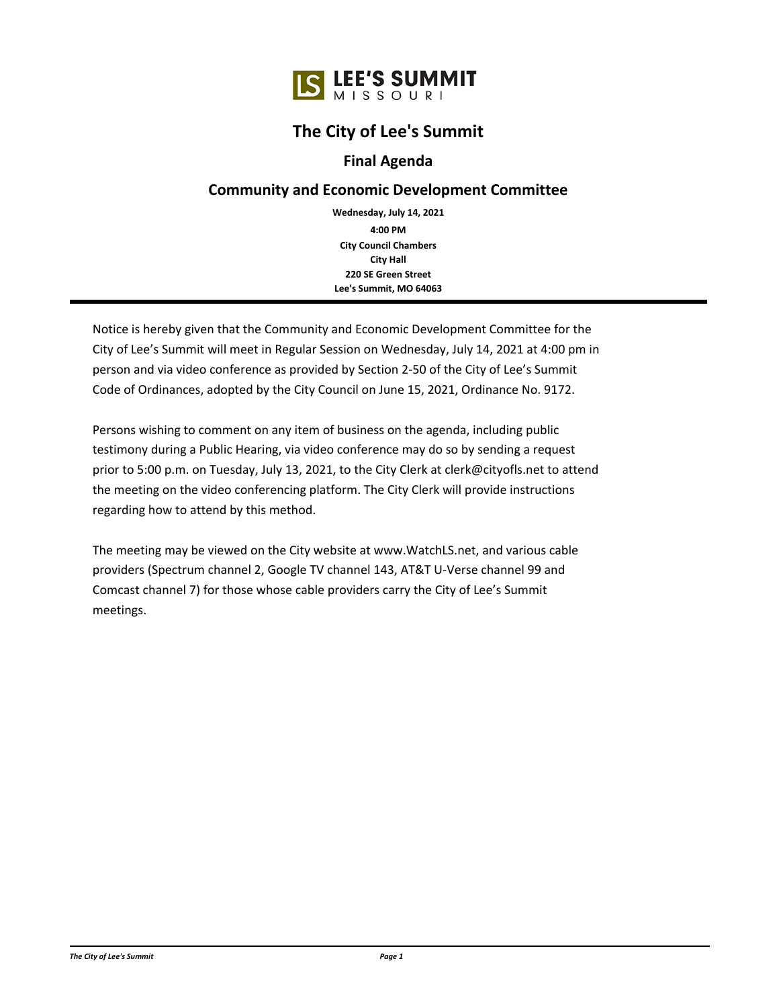# **The City of Lee's Summit**

## **Final Agenda**

### **Community and Economic Development Committee**

**City Council Chambers City Hall 220 SE Green Street Lee's Summit, MO 64063 4:00 PM Wednesday, July 14, 2021**

Notice is hereby given that the Community and Economic Development Committee for the City of Lee's Summit will meet in Regular Session on Wednesday, July 14, 2021 at 4:00 pm in person and via video conference as provided by Section 2-50 of the City of Lee's Summit Code of Ordinances, adopted by the City Council on June 15, 2021, Ordinance No. 9172.

Persons wishing to comment on any item of business on the agenda, including public testimony during a Public Hearing, via video conference may do so by sending a request prior to 5:00 p.m. on Tuesday, July 13, 2021, to the City Clerk at clerk@cityofls.net to attend the meeting on the video conferencing platform. The City Clerk will provide instructions regarding how to attend by this method.

The meeting may be viewed on the City website at www.WatchLS.net, and various cable providers (Spectrum channel 2, Google TV channel 143, AT&T U-Verse channel 99 and Comcast channel 7) for those whose cable providers carry the City of Lee's Summit meetings.